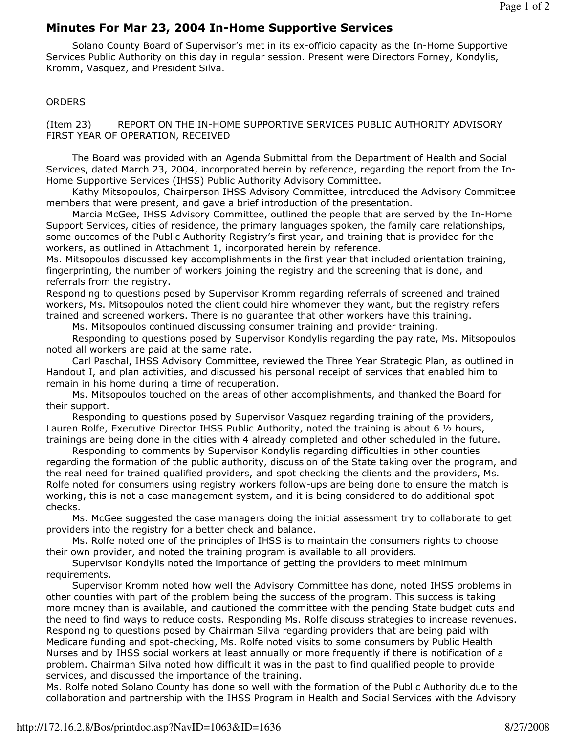## Minutes For Mar 23, 2004 In-Home Supportive Services

 Solano County Board of Supervisor's met in its ex-officio capacity as the In-Home Supportive Services Public Authority on this day in regular session. Present were Directors Forney, Kondylis, Kromm, Vasquez, and President Silva.

## **ORDERS**

(Item 23) REPORT ON THE IN-HOME SUPPORTIVE SERVICES PUBLIC AUTHORITY ADVISORY FIRST YEAR OF OPERATION, RECEIVED

 The Board was provided with an Agenda Submittal from the Department of Health and Social Services, dated March 23, 2004, incorporated herein by reference, regarding the report from the In-Home Supportive Services (IHSS) Public Authority Advisory Committee.

 Kathy Mitsopoulos, Chairperson IHSS Advisory Committee, introduced the Advisory Committee members that were present, and gave a brief introduction of the presentation.

 Marcia McGee, IHSS Advisory Committee, outlined the people that are served by the In-Home Support Services, cities of residence, the primary languages spoken, the family care relationships, some outcomes of the Public Authority Registry's first year, and training that is provided for the workers, as outlined in Attachment 1, incorporated herein by reference.

Ms. Mitsopoulos discussed key accomplishments in the first year that included orientation training, fingerprinting, the number of workers joining the registry and the screening that is done, and referrals from the registry.

Responding to questions posed by Supervisor Kromm regarding referrals of screened and trained workers, Ms. Mitsopoulos noted the client could hire whomever they want, but the registry refers trained and screened workers. There is no guarantee that other workers have this training.

Ms. Mitsopoulos continued discussing consumer training and provider training.

 Responding to questions posed by Supervisor Kondylis regarding the pay rate, Ms. Mitsopoulos noted all workers are paid at the same rate.

 Carl Paschal, IHSS Advisory Committee, reviewed the Three Year Strategic Plan, as outlined in Handout I, and plan activities, and discussed his personal receipt of services that enabled him to remain in his home during a time of recuperation.

 Ms. Mitsopoulos touched on the areas of other accomplishments, and thanked the Board for their support.

 Responding to questions posed by Supervisor Vasquez regarding training of the providers, Lauren Rolfe, Executive Director IHSS Public Authority, noted the training is about 6 1/2 hours, trainings are being done in the cities with 4 already completed and other scheduled in the future.

 Responding to comments by Supervisor Kondylis regarding difficulties in other counties regarding the formation of the public authority, discussion of the State taking over the program, and the real need for trained qualified providers, and spot checking the clients and the providers, Ms. Rolfe noted for consumers using registry workers follow-ups are being done to ensure the match is working, this is not a case management system, and it is being considered to do additional spot checks.

 Ms. McGee suggested the case managers doing the initial assessment try to collaborate to get providers into the registry for a better check and balance.

 Ms. Rolfe noted one of the principles of IHSS is to maintain the consumers rights to choose their own provider, and noted the training program is available to all providers.

 Supervisor Kondylis noted the importance of getting the providers to meet minimum requirements.

 Supervisor Kromm noted how well the Advisory Committee has done, noted IHSS problems in other counties with part of the problem being the success of the program. This success is taking more money than is available, and cautioned the committee with the pending State budget cuts and the need to find ways to reduce costs. Responding Ms. Rolfe discuss strategies to increase revenues. Responding to questions posed by Chairman Silva regarding providers that are being paid with Medicare funding and spot-checking, Ms. Rolfe noted visits to some consumers by Public Health Nurses and by IHSS social workers at least annually or more frequently if there is notification of a problem. Chairman Silva noted how difficult it was in the past to find qualified people to provide services, and discussed the importance of the training.

Ms. Rolfe noted Solano County has done so well with the formation of the Public Authority due to the collaboration and partnership with the IHSS Program in Health and Social Services with the Advisory